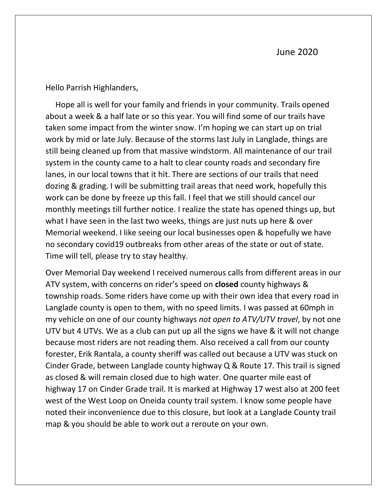Hello Parrish Highlanders,

 Hope all is well for your family and friends in your community. Trails opened about a week & a half late or so this year. You will find some of our trails have taken some impact from the winter snow. I'm hoping we can start up on trial work by mid or late July. Because of the storms last July in Langlade, things are still being cleaned up from that massive windstorm. All maintenance of our trail system in the county came to a halt to clear county roads and secondary fire lanes, in our local towns that it hit. There are sections of our trails that need dozing & grading. I will be submitting trail areas that need work, hopefully this work can be done by freeze up this fall. I feel that we still should cancel our monthly meetings till further notice. I realize the state has opened things up, but what I have seen in the last two weeks, things are just nuts up here & over Memorial weekend. I like seeing our local businesses open & hopefully we have no secondary covid19 outbreaks from other areas of the state or out of state. Time will tell, please try to stay healthy.

Over Memorial Day weekend I received numerous calls from different areas in our ATV system, with concerns on rider's speed on **closed** county highways & township roads. Some riders have come up with their own idea that every road in Langlade county is open to them, with no speed limits. I was passed at 60mph in my vehicle on one of our county highways *not open to ATV/UTV travel*, by not one UTV but 4 UTVs. We as a club can put up all the signs we have & it will not change because most riders are not reading them. Also received a call from our county forester, Erik Rantala, a county sheriff was called out because a UTV was stuck on Cinder Grade, between Langlade county highway Q & Route 17. This trail is signed as closed & will remain closed due to high water. One quarter mile east of highway 17 on Cinder Grade trail. It is marked at Highway 17 west also at 200 feet west of the West Loop on Oneida county trail system. I know some people have noted their inconvenience due to this closure, but look at a Langlade County trail map & you should be able to work out a reroute on your own.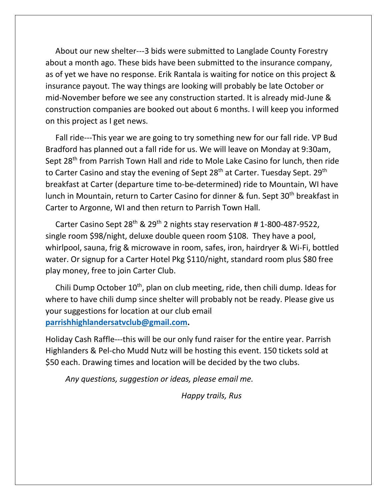About our new shelter---3 bids were submitted to Langlade County Forestry about a month ago. These bids have been submitted to the insurance company, as of yet we have no response. Erik Rantala is waiting for notice on this project & insurance payout. The way things are looking will probably be late October or mid-November before we see any construction started. It is already mid-June & construction companies are booked out about 6 months. I will keep you informed on this project as I get news.

 Fall ride---This year we are going to try something new for our fall ride. VP Bud Bradford has planned out a fall ride for us. We will leave on Monday at 9:30am, Sept 28<sup>th</sup> from Parrish Town Hall and ride to Mole Lake Casino for lunch, then ride to Carter Casino and stay the evening of Sept 28<sup>th</sup> at Carter. Tuesday Sept. 29<sup>th</sup> breakfast at Carter (departure time to-be-determined) ride to Mountain, WI have lunch in Mountain, return to Carter Casino for dinner & fun. Sept 30<sup>th</sup> breakfast in Carter to Argonne, WI and then return to Parrish Town Hall.

Carter Casino Sept 28<sup>th</sup> & 29<sup>th</sup> 2 nights stay reservation #1-800-487-9522, single room \$98/night, deluxe double queen room \$108. They have a pool, whirlpool, sauna, frig & microwave in room, safes, iron, hairdryer & Wi-Fi, bottled water. Or signup for a Carter Hotel Pkg \$110/night, standard room plus \$80 free play money, free to join Carter Club.

Chili Dump October 10<sup>th</sup>, plan on club meeting, ride, then chili dump. Ideas for where to have chili dump since shelter will probably not be ready. Please give us your suggestions for location at our club email **[parrishhighlandersatvclub@gmail.com.](mailto:parrishhighlandersatvclub@gmail.com)** 

Holiday Cash Raffle---this will be our only fund raiser for the entire year. Parrish Highlanders & Pel-cho Mudd Nutz will be hosting this event. 150 tickets sold at \$50 each. Drawing times and location will be decided by the two clubs.

*Any questions, suggestion or ideas, please email me.*

 *Happy trails, Rus*